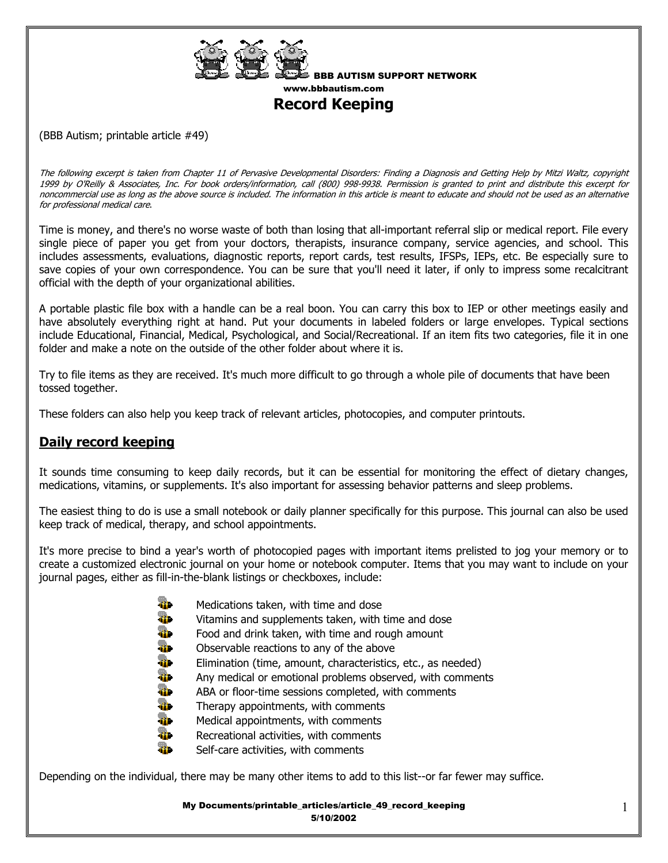

BBB AUTISM SUPPORT NETWORK www.bbbautism.com

**Record Keeping** 

(BBB Autism; printable article #49)

The following excerpt is taken from Chapter 11 of Pervasive Developmental Disorders: Finding a Diagnosis and Getting Help by Mitzi Waltz, copyright 1999 by O'Reilly & Associates, Inc. For book orders/information, call (800) 998-9938. Permission is granted to print and distribute this excerpt for noncommercial use as long as the above source is included. The information in this article is meant to educate and should not be used as an alternative for professional medical care.

Time is money, and there's no worse waste of both than losing that all-important referral slip or medical report. File every single piece of paper you get from your doctors, therapists, insurance company, service agencies, and school. This includes assessments, evaluations, diagnostic reports, report cards, test results, IFSPs, IEPs, etc. Be especially sure to save copies of your own correspondence. You can be sure that you'll need it later, if only to impress some recalcitrant official with the depth of your organizational abilities.

A portable plastic file box with a handle can be a real boon. You can carry this box to IEP or other meetings easily and have absolutely everything right at hand. Put your documents in labeled folders or large envelopes. Typical sections include Educational, Financial, Medical, Psychological, and Social/Recreational. If an item fits two categories, file it in one folder and make a note on the outside of the other folder about where it is.

Try to file items as they are received. It's much more difficult to go through a whole pile of documents that have been tossed together.

These folders can also help you keep track of relevant articles, photocopies, and computer printouts.

## **Daily record keeping**

It sounds time consuming to keep daily records, but it can be essential for monitoring the effect of dietary changes, medications, vitamins, or supplements. It's also important for assessing behavior patterns and sleep problems.

The easiest thing to do is use a small notebook or daily planner specifically for this purpose. This journal can also be used keep track of medical, therapy, and school appointments.

It's more precise to bind a year's worth of photocopied pages with important items prelisted to jog your memory or to create a customized electronic journal on your home or notebook computer. Items that you may want to include on your journal pages, either as fill-in-the-blank listings or checkboxes, include:

- **Wedications taken, with time and dose**
- **WE** Vitamins and supplements taken, with time and dose
- **Food and drink taken, with time and rough amount**
- $\Box$  Observable reactions to any of the above
- **Elimination (time, amount, characteristics, etc., as needed)**
- **AD** Any medical or emotional problems observed, with comments
- **ABA** or floor-time sessions completed, with comments
- $T$  Therapy appointments, with comments
- **Medical appointments, with comments**
- **Recreational activities, with comments**
- Self-care activities, with comments

Depending on the individual, there may be many other items to add to this list--or far fewer may suffice.

My Documents/printable\_articles/article\_49\_record\_keeping 5/10/2002